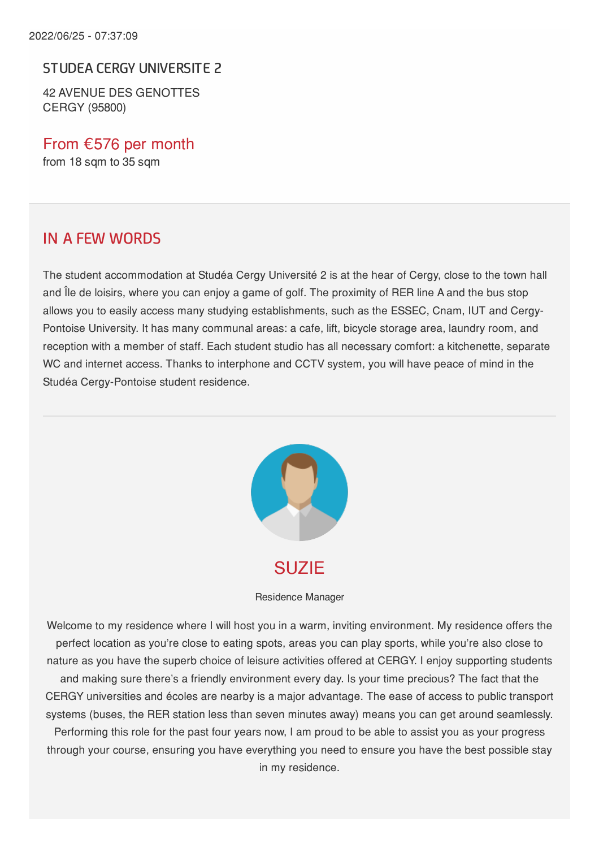#### STUDEA CERGY UNIVERSITE 2

42 AVENUE DES GENOTTES CERGY (95800)

From €576 per month from 18 sqm to 35 sqm

#### IN A FEW WORDS

The student accommodation at Studéa Cergy Université 2 is at the hear of Cergy, close to the town hall and Île de loisirs, where you can enjoy a game of golf. The proximity of RER line A and the bus stop allows you to easily access many studying establishments, such as the ESSEC, Cnam, IUT and Cergy-Pontoise University. It has many communal areas: a cafe, lift, bicycle storage area, laundry room, and reception with a member of staff. Each student studio has all necessary comfort: a kitchenette, separate WC and internet access. Thanks to interphone and CCTV system, you will have peace of mind in the Studéa Cergy-Pontoise student residence.



Residence Manager

Welcome to my residence where I will host you in a warm, inviting environment. My residence offers the perfect location as you're close to eating spots, areas you can play sports, while you're also close to nature as you have the superb choice of leisure activities offered at CERGY. I enjoy supporting students and making sure there's a friendly environment every day. Is your time precious? The fact that the CERGY universities and écoles are nearby is a major advantage. The ease of access to public transport systems (buses, the RER station less than seven minutes away) means you can get around seamlessly. Performing this role for the past four years now, I am proud to be able to assist you as your progress through your course, ensuring you have everything you need to ensure you have the best possible stay

in my residence.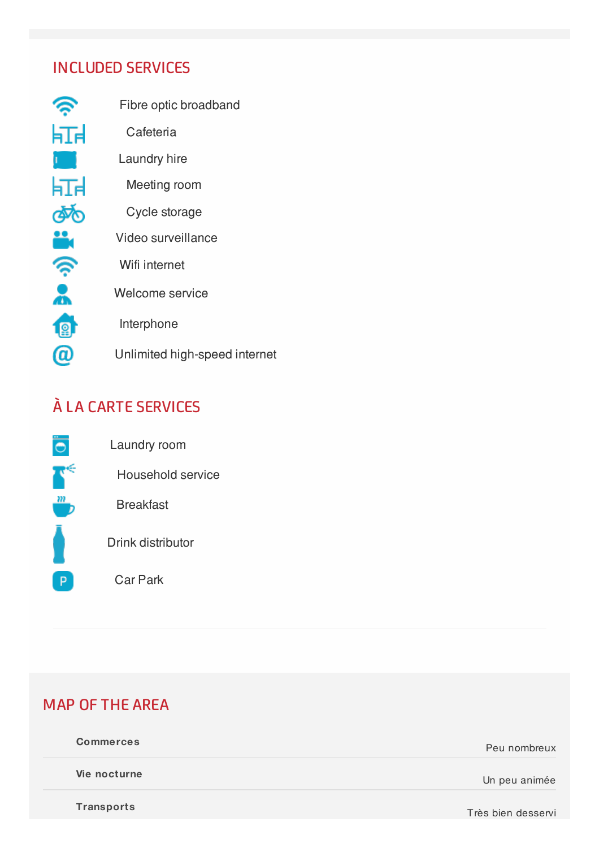#### INCLUDED SERVICES

| Fibre optic broadband         |
|-------------------------------|
| Cafeteria                     |
| Laundry hire                  |
| Meeting room                  |
| Cycle storage                 |
| Video surveillance            |
| Wifi internet                 |
| Welcome service               |
| Interphone                    |
| Unlimited high-speed internet |
|                               |

# À LA CARTE SERVICES



## MAP OF THE AREA

| <b>Commerces</b>  | Peu nombreux      |
|-------------------|-------------------|
| Vie nocturne      | Un peu animée     |
| <b>Transports</b> | Trào bian donnani |

Très bien desservi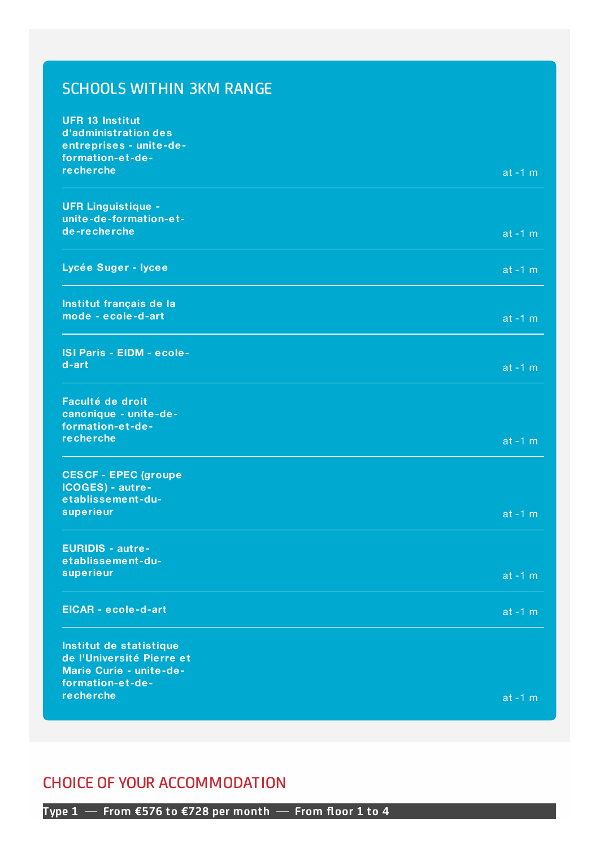### SCHOOLS WITHIN 3KM RANGE

| <b>UFR 13 Institut</b><br>d'administration des       |            |
|------------------------------------------------------|------------|
| entreprises - unite-de-                              |            |
| formation-et-de-<br>recherche                        | $at -1 m$  |
| <b>UFR Linguistique -</b><br>unite-de-formation-et-  |            |
| de-recherche                                         | $at -1 m$  |
| Lycée Suger - lycee                                  | $at -1 m$  |
| Institut français de la                              |            |
| mode - ecole-d-art                                   | $at -1 m$  |
| <b>ISI Paris - EIDM - ecole-</b>                     |            |
| d-art                                                | $at -1 m$  |
| Faculté de droit                                     |            |
| canonique - unite-de-<br>formation-et-de-            |            |
| recherche                                            | $at -1 m$  |
| <b>CESCF - EPEC (groupe</b>                          |            |
| ICOGES) - autre-<br>etablissement-du-                |            |
| superieur                                            | $at -1 m$  |
| <b>EURIDIS - autre-</b>                              |            |
| etablissement-du-                                    |            |
| superieur                                            | $at - 1 m$ |
| EICAR - ecole-d-art                                  | $at -1 m$  |
| Institut de statistique                              |            |
| de l'Université Pierre et<br>Marie Curie - unite-de- |            |
| formation-et-de-                                     |            |
| recherche                                            | $at -1 m$  |

#### CHOICE OF YOUR ACCOMMODATION